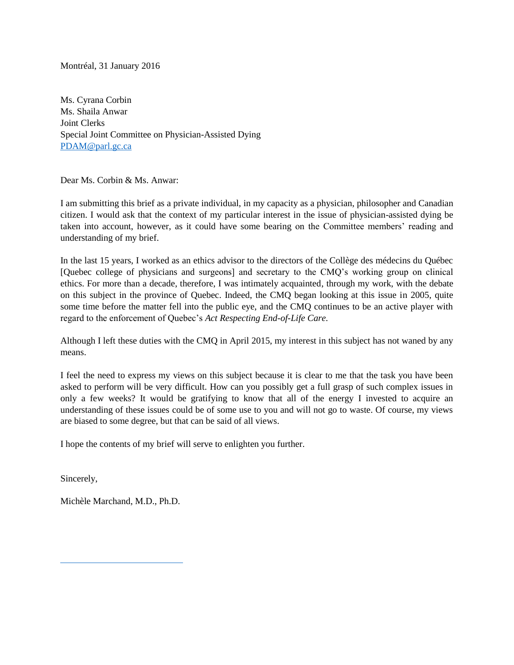Montréal, 31 January 2016

Ms. Cyrana Corbin Ms. Shaila Anwar Joint Clerks Special Joint Committee on Physician-Assisted Dying [PDAM@parl.gc.ca](mailto:PDAM@parl.gc.ca)

Dear Ms. Corbin & Ms. Anwar:

I am submitting this brief as a private individual, in my capacity as a physician, philosopher and Canadian citizen. I would ask that the context of my particular interest in the issue of physician-assisted dying be taken into account, however, as it could have some bearing on the Committee members' reading and understanding of my brief.

In the last 15 years, I worked as an ethics advisor to the directors of the Collège des médecins du Québec [Quebec college of physicians and surgeons] and secretary to the CMQ's working group on clinical ethics. For more than a decade, therefore, I was intimately acquainted, through my work, with the debate on this subject in the province of Quebec. Indeed, the CMQ began looking at this issue in 2005, quite some time before the matter fell into the public eye, and the CMQ continues to be an active player with regard to the enforcement of Quebec's *Act Respecting End-of-Life Care.*

Although I left these duties with the CMQ in April 2015, my interest in this subject has not waned by any means.

I feel the need to express my views on this subject because it is clear to me that the task you have been asked to perform will be very difficult. How can you possibly get a full grasp of such complex issues in only a few weeks? It would be gratifying to know that all of the energy I invested to acquire an understanding of these issues could be of some use to you and will not go to waste. Of course, my views are biased to some degree, but that can be said of all views.

I hope the contents of my brief will serve to enlighten you further.

Sincerely,

Michèle Marchand, M.D., Ph.D.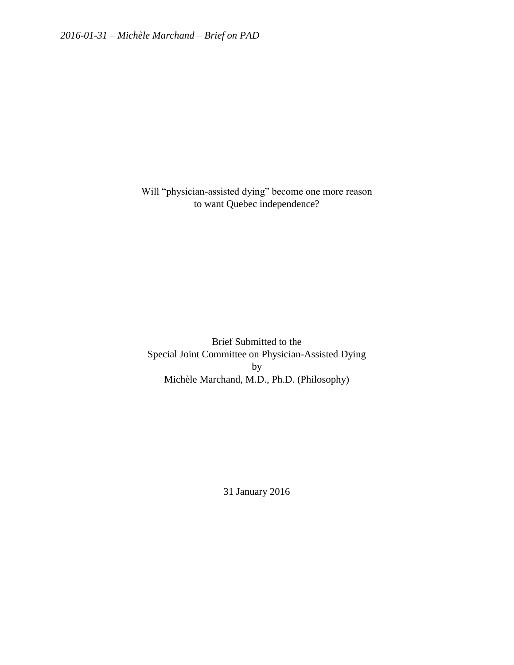Will "physician-assisted dying" become one more reason to want Quebec independence?

Brief Submitted to the Special Joint Committee on Physician-Assisted Dying by Michèle Marchand, M.D., Ph.D. (Philosophy)

31 January 2016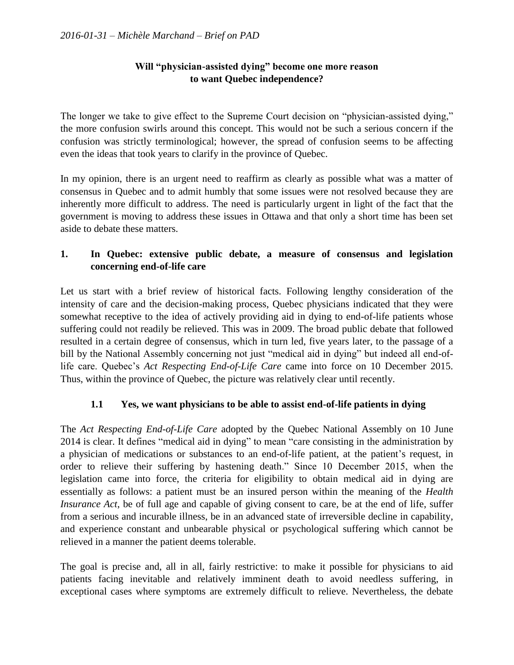## **Will "physician-assisted dying" become one more reason to want Quebec independence?**

The longer we take to give effect to the Supreme Court decision on "physician-assisted dying," the more confusion swirls around this concept. This would not be such a serious concern if the confusion was strictly terminological; however, the spread of confusion seems to be affecting even the ideas that took years to clarify in the province of Quebec.

In my opinion, there is an urgent need to reaffirm as clearly as possible what was a matter of consensus in Quebec and to admit humbly that some issues were not resolved because they are inherently more difficult to address. The need is particularly urgent in light of the fact that the government is moving to address these issues in Ottawa and that only a short time has been set aside to debate these matters.

# **1. In Quebec: extensive public debate, a measure of consensus and legislation concerning end-of-life care**

Let us start with a brief review of historical facts. Following lengthy consideration of the intensity of care and the decision-making process, Quebec physicians indicated that they were somewhat receptive to the idea of actively providing aid in dying to end-of-life patients whose suffering could not readily be relieved. This was in 2009. The broad public debate that followed resulted in a certain degree of consensus, which in turn led, five years later, to the passage of a bill by the National Assembly concerning not just "medical aid in dying" but indeed all end-oflife care. Quebec's *Act Respecting End-of-Life Care* came into force on 10 December 2015. Thus, within the province of Quebec, the picture was relatively clear until recently.

## **1.1 Yes, we want physicians to be able to assist end-of-life patients in dying**

The *Act Respecting End-of-Life Care* adopted by the Quebec National Assembly on 10 June 2014 is clear. It defines "medical aid in dying" to mean "care consisting in the administration by a physician of medications or substances to an end-of-life patient, at the patient's request, in order to relieve their suffering by hastening death." Since 10 December 2015, when the legislation came into force, the criteria for eligibility to obtain medical aid in dying are essentially as follows: a patient must be an insured person within the meaning of the *Health Insurance Act*, be of full age and capable of giving consent to care, be at the end of life, suffer from a serious and incurable illness, be in an advanced state of irreversible decline in capability, and experience constant and unbearable physical or psychological suffering which cannot be relieved in a manner the patient deems tolerable.

The goal is precise and, all in all, fairly restrictive: to make it possible for physicians to aid patients facing inevitable and relatively imminent death to avoid needless suffering, in exceptional cases where symptoms are extremely difficult to relieve. Nevertheless, the debate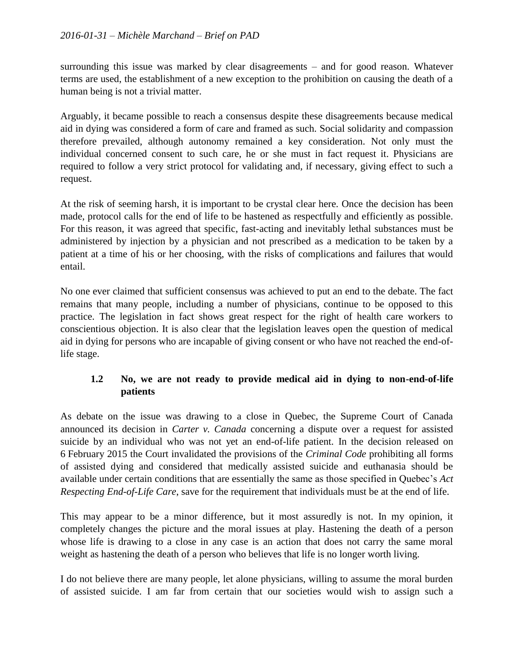surrounding this issue was marked by clear disagreements – and for good reason. Whatever terms are used, the establishment of a new exception to the prohibition on causing the death of a human being is not a trivial matter.

Arguably, it became possible to reach a consensus despite these disagreements because medical aid in dying was considered a form of care and framed as such. Social solidarity and compassion therefore prevailed, although autonomy remained a key consideration. Not only must the individual concerned consent to such care, he or she must in fact request it. Physicians are required to follow a very strict protocol for validating and, if necessary, giving effect to such a request.

At the risk of seeming harsh, it is important to be crystal clear here. Once the decision has been made, protocol calls for the end of life to be hastened as respectfully and efficiently as possible. For this reason, it was agreed that specific, fast-acting and inevitably lethal substances must be administered by injection by a physician and not prescribed as a medication to be taken by a patient at a time of his or her choosing, with the risks of complications and failures that would entail.

No one ever claimed that sufficient consensus was achieved to put an end to the debate. The fact remains that many people, including a number of physicians, continue to be opposed to this practice. The legislation in fact shows great respect for the right of health care workers to conscientious objection. It is also clear that the legislation leaves open the question of medical aid in dying for persons who are incapable of giving consent or who have not reached the end-oflife stage.

## **1.2 No, we are not ready to provide medical aid in dying to non-end-of-life patients**

As debate on the issue was drawing to a close in Quebec, the Supreme Court of Canada announced its decision in *Carter v. Canada* concerning a dispute over a request for assisted suicide by an individual who was not yet an end-of-life patient. In the decision released on 6 February 2015 the Court invalidated the provisions of the *Criminal Code* prohibiting all forms of assisted dying and considered that medically assisted suicide and euthanasia should be available under certain conditions that are essentially the same as those specified in Quebec's *Act Respecting End-of-Life Care*, save for the requirement that individuals must be at the end of life.

This may appear to be a minor difference, but it most assuredly is not. In my opinion, it completely changes the picture and the moral issues at play. Hastening the death of a person whose life is drawing to a close in any case is an action that does not carry the same moral weight as hastening the death of a person who believes that life is no longer worth living.

I do not believe there are many people, let alone physicians, willing to assume the moral burden of assisted suicide. I am far from certain that our societies would wish to assign such a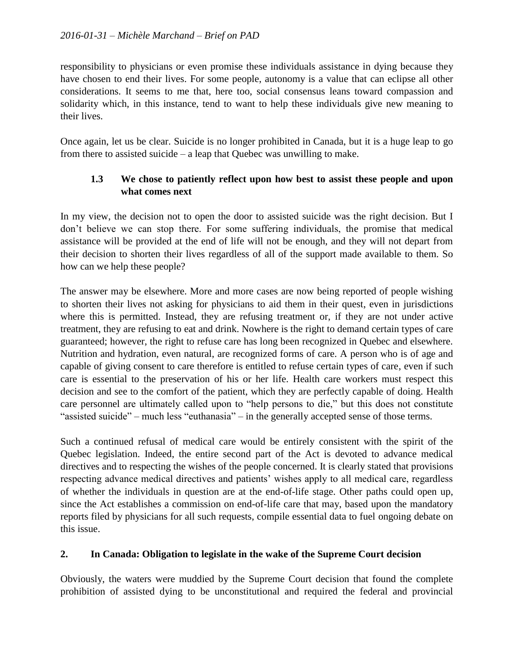responsibility to physicians or even promise these individuals assistance in dying because they have chosen to end their lives. For some people, autonomy is a value that can eclipse all other considerations. It seems to me that, here too, social consensus leans toward compassion and solidarity which, in this instance, tend to want to help these individuals give new meaning to their lives.

Once again, let us be clear. Suicide is no longer prohibited in Canada, but it is a huge leap to go from there to assisted suicide – a leap that Quebec was unwilling to make.

### **1.3 We chose to patiently reflect upon how best to assist these people and upon what comes next**

In my view, the decision not to open the door to assisted suicide was the right decision. But I don't believe we can stop there. For some suffering individuals, the promise that medical assistance will be provided at the end of life will not be enough, and they will not depart from their decision to shorten their lives regardless of all of the support made available to them. So how can we help these people?

The answer may be elsewhere. More and more cases are now being reported of people wishing to shorten their lives not asking for physicians to aid them in their quest, even in jurisdictions where this is permitted. Instead, they are refusing treatment or, if they are not under active treatment, they are refusing to eat and drink. Nowhere is the right to demand certain types of care guaranteed; however, the right to refuse care has long been recognized in Quebec and elsewhere. Nutrition and hydration, even natural, are recognized forms of care. A person who is of age and capable of giving consent to care therefore is entitled to refuse certain types of care, even if such care is essential to the preservation of his or her life. Health care workers must respect this decision and see to the comfort of the patient, which they are perfectly capable of doing. Health care personnel are ultimately called upon to "help persons to die," but this does not constitute "assisted suicide" – much less "euthanasia" – in the generally accepted sense of those terms.

Such a continued refusal of medical care would be entirely consistent with the spirit of the Quebec legislation. Indeed, the entire second part of the Act is devoted to advance medical directives and to respecting the wishes of the people concerned. It is clearly stated that provisions respecting advance medical directives and patients' wishes apply to all medical care, regardless of whether the individuals in question are at the end-of-life stage. Other paths could open up, since the Act establishes a commission on end-of-life care that may, based upon the mandatory reports filed by physicians for all such requests, compile essential data to fuel ongoing debate on this issue.

#### **2. In Canada: Obligation to legislate in the wake of the Supreme Court decision**

Obviously, the waters were muddied by the Supreme Court decision that found the complete prohibition of assisted dying to be unconstitutional and required the federal and provincial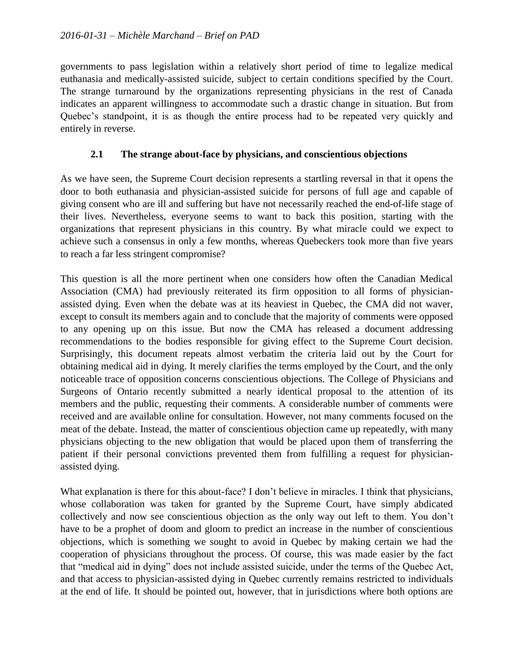governments to pass legislation within a relatively short period of time to legalize medical euthanasia and medically-assisted suicide, subject to certain conditions specified by the Court. The strange turnaround by the organizations representing physicians in the rest of Canada indicates an apparent willingness to accommodate such a drastic change in situation. But from Quebec's standpoint, it is as though the entire process had to be repeated very quickly and entirely in reverse.

#### **2.1 The strange about-face by physicians, and conscientious objections**

As we have seen, the Supreme Court decision represents a startling reversal in that it opens the door to both euthanasia and physician-assisted suicide for persons of full age and capable of giving consent who are ill and suffering but have not necessarily reached the end-of-life stage of their lives. Nevertheless, everyone seems to want to back this position, starting with the organizations that represent physicians in this country. By what miracle could we expect to achieve such a consensus in only a few months, whereas Quebeckers took more than five years to reach a far less stringent compromise?

This question is all the more pertinent when one considers how often the Canadian Medical Association (CMA) had previously reiterated its firm opposition to all forms of physicianassisted dying. Even when the debate was at its heaviest in Quebec, the CMA did not waver, except to consult its members again and to conclude that the majority of comments were opposed to any opening up on this issue. But now the CMA has released a document addressing recommendations to the bodies responsible for giving effect to the Supreme Court decision. Surprisingly, this document repeats almost verbatim the criteria laid out by the Court for obtaining medical aid in dying. It merely clarifies the terms employed by the Court, and the only noticeable trace of opposition concerns conscientious objections. The College of Physicians and Surgeons of Ontario recently submitted a nearly identical proposal to the attention of its members and the public, requesting their comments. A considerable number of comments were received and are available online for consultation. However, not many comments focused on the meat of the debate. Instead, the matter of conscientious objection came up repeatedly, with many physicians objecting to the new obligation that would be placed upon them of transferring the patient if their personal convictions prevented them from fulfilling a request for physicianassisted dying.

What explanation is there for this about-face? I don't believe in miracles. I think that physicians, whose collaboration was taken for granted by the Supreme Court, have simply abdicated collectively and now see conscientious objection as the only way out left to them. You don't have to be a prophet of doom and gloom to predict an increase in the number of conscientious objections, which is something we sought to avoid in Quebec by making certain we had the cooperation of physicians throughout the process. Of course, this was made easier by the fact that "medical aid in dying" does not include assisted suicide, under the terms of the Quebec Act, and that access to physician-assisted dying in Quebec currently remains restricted to individuals at the end of life. It should be pointed out, however, that in jurisdictions where both options are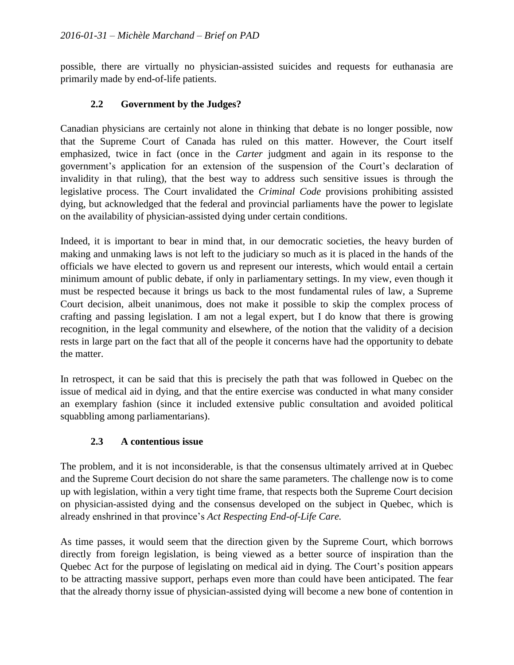possible, there are virtually no physician-assisted suicides and requests for euthanasia are primarily made by end-of-life patients.

### **2.2 Government by the Judges?**

Canadian physicians are certainly not alone in thinking that debate is no longer possible, now that the Supreme Court of Canada has ruled on this matter. However, the Court itself emphasized, twice in fact (once in the *Carter* judgment and again in its response to the government's application for an extension of the suspension of the Court's declaration of invalidity in that ruling), that the best way to address such sensitive issues is through the legislative process. The Court invalidated the *Criminal Code* provisions prohibiting assisted dying, but acknowledged that the federal and provincial parliaments have the power to legislate on the availability of physician-assisted dying under certain conditions.

Indeed, it is important to bear in mind that, in our democratic societies, the heavy burden of making and unmaking laws is not left to the judiciary so much as it is placed in the hands of the officials we have elected to govern us and represent our interests, which would entail a certain minimum amount of public debate, if only in parliamentary settings. In my view, even though it must be respected because it brings us back to the most fundamental rules of law, a Supreme Court decision, albeit unanimous, does not make it possible to skip the complex process of crafting and passing legislation. I am not a legal expert, but I do know that there is growing recognition, in the legal community and elsewhere, of the notion that the validity of a decision rests in large part on the fact that all of the people it concerns have had the opportunity to debate the matter.

In retrospect, it can be said that this is precisely the path that was followed in Quebec on the issue of medical aid in dying, and that the entire exercise was conducted in what many consider an exemplary fashion (since it included extensive public consultation and avoided political squabbling among parliamentarians).

#### **2.3 A contentious issue**

The problem, and it is not inconsiderable, is that the consensus ultimately arrived at in Quebec and the Supreme Court decision do not share the same parameters. The challenge now is to come up with legislation, within a very tight time frame, that respects both the Supreme Court decision on physician-assisted dying and the consensus developed on the subject in Quebec, which is already enshrined in that province's *Act Respecting End-of-Life Care.*

As time passes, it would seem that the direction given by the Supreme Court, which borrows directly from foreign legislation, is being viewed as a better source of inspiration than the Quebec Act for the purpose of legislating on medical aid in dying. The Court's position appears to be attracting massive support, perhaps even more than could have been anticipated. The fear that the already thorny issue of physician-assisted dying will become a new bone of contention in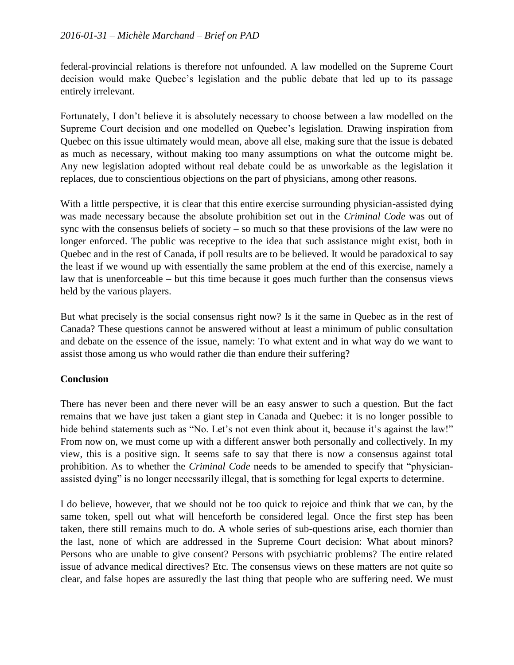federal-provincial relations is therefore not unfounded. A law modelled on the Supreme Court decision would make Quebec's legislation and the public debate that led up to its passage entirely irrelevant.

Fortunately, I don't believe it is absolutely necessary to choose between a law modelled on the Supreme Court decision and one modelled on Quebec's legislation. Drawing inspiration from Quebec on this issue ultimately would mean, above all else, making sure that the issue is debated as much as necessary, without making too many assumptions on what the outcome might be. Any new legislation adopted without real debate could be as unworkable as the legislation it replaces, due to conscientious objections on the part of physicians, among other reasons.

With a little perspective, it is clear that this entire exercise surrounding physician-assisted dying was made necessary because the absolute prohibition set out in the *Criminal Code* was out of sync with the consensus beliefs of society – so much so that these provisions of the law were no longer enforced. The public was receptive to the idea that such assistance might exist, both in Quebec and in the rest of Canada, if poll results are to be believed. It would be paradoxical to say the least if we wound up with essentially the same problem at the end of this exercise, namely a law that is unenforceable – but this time because it goes much further than the consensus views held by the various players.

But what precisely is the social consensus right now? Is it the same in Quebec as in the rest of Canada? These questions cannot be answered without at least a minimum of public consultation and debate on the essence of the issue, namely: To what extent and in what way do we want to assist those among us who would rather die than endure their suffering?

## **Conclusion**

There has never been and there never will be an easy answer to such a question. But the fact remains that we have just taken a giant step in Canada and Quebec: it is no longer possible to hide behind statements such as "No. Let's not even think about it, because it's against the law!" From now on, we must come up with a different answer both personally and collectively. In my view, this is a positive sign. It seems safe to say that there is now a consensus against total prohibition. As to whether the *Criminal Code* needs to be amended to specify that "physicianassisted dying" is no longer necessarily illegal, that is something for legal experts to determine.

I do believe, however, that we should not be too quick to rejoice and think that we can, by the same token, spell out what will henceforth be considered legal. Once the first step has been taken, there still remains much to do. A whole series of sub-questions arise, each thornier than the last, none of which are addressed in the Supreme Court decision: What about minors? Persons who are unable to give consent? Persons with psychiatric problems? The entire related issue of advance medical directives? Etc. The consensus views on these matters are not quite so clear, and false hopes are assuredly the last thing that people who are suffering need. We must